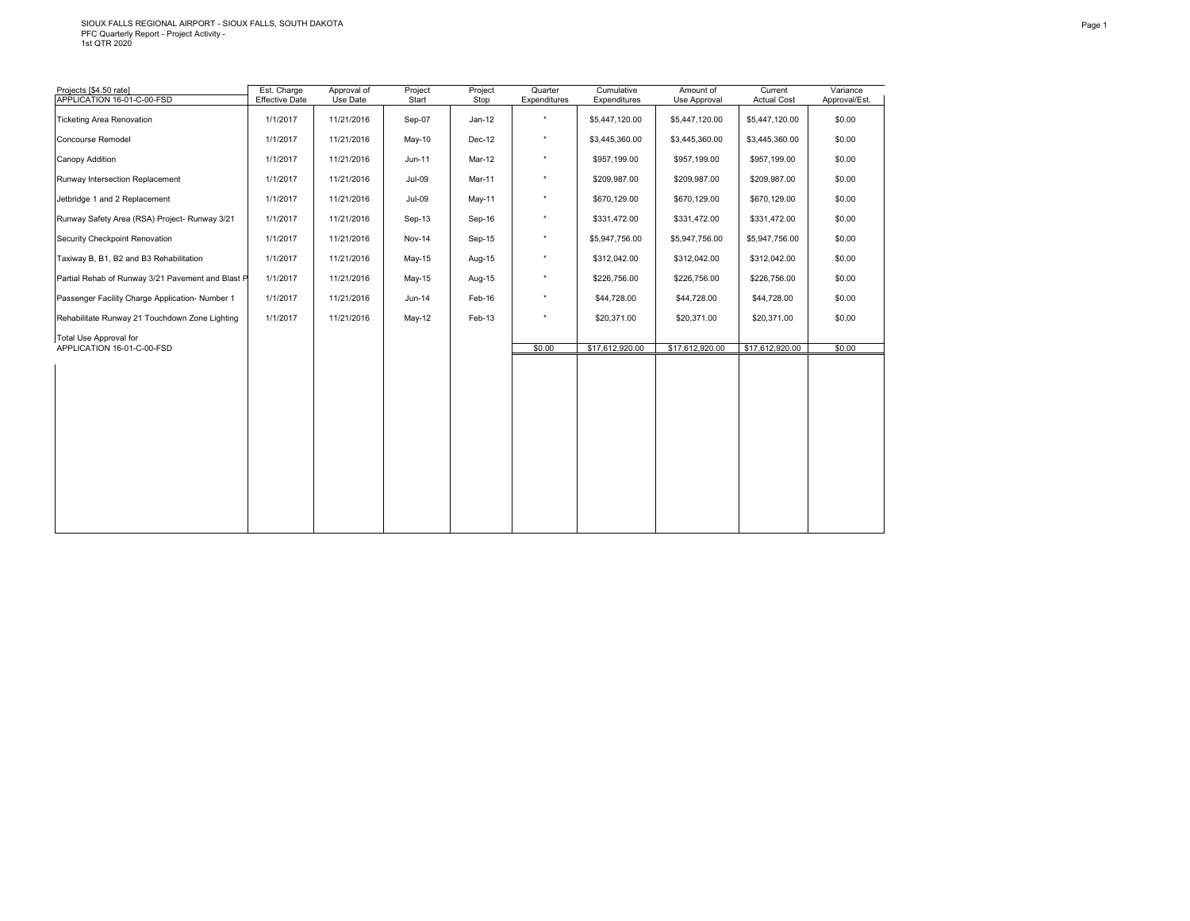# SIOUX FALLS REGIONAL AIRPORT - SIOUX FALLS, SOUTH DAKOTA PFC Quarterly Report - Project Activity - 1st QTR 2020

| Projects [\$4.50 rate]<br>APPLICATION 16-01-C-00-FSD | Est. Charge<br><b>Effective Date</b> | Approval of<br>Use Date | Project<br>Start | Project<br>Stop | Quarter<br>Expenditures | Cumulative<br>Expenditures | Amount of<br>Use Approval | Current<br><b>Actual Cost</b> | Variance<br>Approval/Est. |
|------------------------------------------------------|--------------------------------------|-------------------------|------------------|-----------------|-------------------------|----------------------------|---------------------------|-------------------------------|---------------------------|
| <b>Ticketing Area Renovation</b>                     | 1/1/2017                             | 11/21/2016              | Sep-07           | $Jan-12$        | $\star$                 | \$5,447,120.00             | \$5,447,120.00            | \$5,447,120.00                | \$0.00                    |
| Concourse Remodel                                    | 1/1/2017                             | 11/21/2016              | May-10           | Dec-12          | $^\star$                | \$3,445,360.00             | \$3,445,360.00            | \$3,445,360.00                | \$0.00                    |
| Canopy Addition                                      | 1/1/2017                             | 11/21/2016              | Jun-11           | Mar-12          | $^\star$                | \$957,199.00               | \$957,199.00              | \$957,199.00                  | \$0.00                    |
| Runway Intersection Replacement                      | 1/1/2017                             | 11/21/2016              | $Jul-09$         | Mar-11          | $^\star$                | \$209,987.00               | \$209,987.00              | \$209,987.00                  | \$0.00                    |
| Jetbridge 1 and 2 Replacement                        | 1/1/2017                             | 11/21/2016              | $Jul-09$         | May-11          | $^\star$                | \$670,129.00               | \$670,129.00              | \$670,129.00                  | \$0.00                    |
| Runway Safety Area (RSA) Project- Runway 3/21        | 1/1/2017                             | 11/21/2016              | Sep-13           | Sep-16          | $^\star$                | \$331,472.00               | \$331,472.00              | \$331,472.00                  | \$0.00                    |
| Security Checkpoint Renovation                       | 1/1/2017                             | 11/21/2016              | <b>Nov-14</b>    | Sep-15          | $^\star$                | \$5,947,756.00             | \$5,947,756.00            | \$5,947,756.00                | \$0.00                    |
| Taxiway B, B1, B2 and B3 Rehabilitation              | 1/1/2017                             | 11/21/2016              | May-15           | Aug-15          | $^\star$                | \$312,042.00               | \$312,042.00              | \$312,042.00                  | \$0.00                    |
| Partial Rehab of Runway 3/21 Pavement and Blast P    | 1/1/2017                             | 11/21/2016              | May-15           | Aug-15          | $^\star$                | \$226,756.00               | \$226,756.00              | \$226,756.00                  | \$0.00                    |
| Passenger Facility Charge Application- Number 1      | 1/1/2017                             | 11/21/2016              | Jun-14           | Feb-16          | $^\star$                | \$44,728.00                | \$44,728.00               | \$44,728.00                   | \$0.00                    |
| Rehabilitate Runway 21 Touchdown Zone Lighting       | 1/1/2017                             | 11/21/2016              | $May-12$         | Feb-13          | $^{\star}$              | \$20,371.00                | \$20,371.00               | \$20,371.00                   | \$0.00                    |
| Total Use Approval for<br>APPLICATION 16-01-C-00-FSD |                                      |                         |                  |                 | \$0.00                  | \$17,612,920.00            | \$17,612,920.00           | \$17,612,920.00               | \$0.00                    |
|                                                      |                                      |                         |                  |                 |                         |                            |                           |                               |                           |
|                                                      |                                      |                         |                  |                 |                         |                            |                           |                               |                           |
|                                                      |                                      |                         |                  |                 |                         |                            |                           |                               |                           |
|                                                      |                                      |                         |                  |                 |                         |                            |                           |                               |                           |
|                                                      |                                      |                         |                  |                 |                         |                            |                           |                               |                           |
|                                                      |                                      |                         |                  |                 |                         |                            |                           |                               |                           |
|                                                      |                                      |                         |                  |                 |                         |                            |                           |                               |                           |
|                                                      |                                      |                         |                  |                 |                         |                            |                           |                               |                           |
|                                                      |                                      |                         |                  |                 |                         |                            |                           |                               |                           |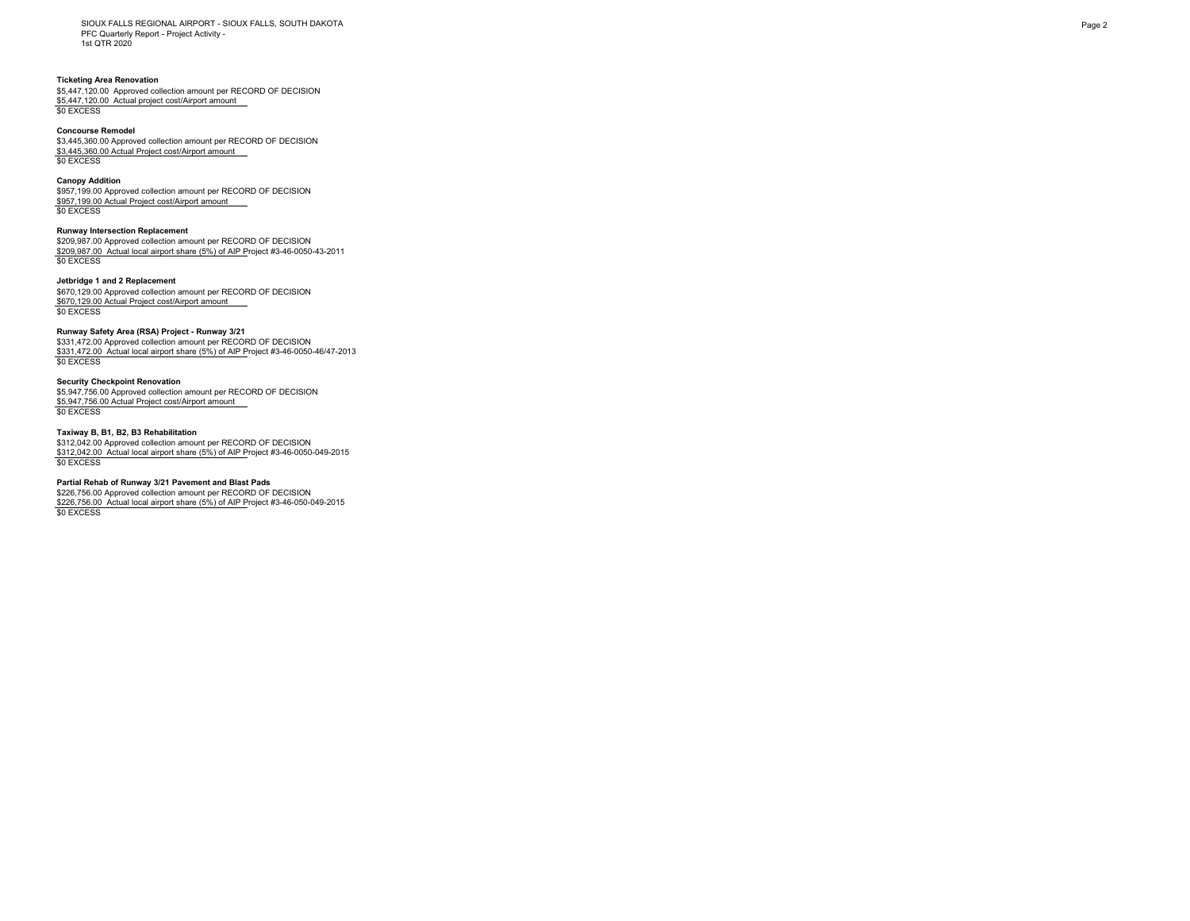SIOUX FALLS REGIONAL AIRPORT - SIOUX FALLS, SOUTH DAKOTA PFC Quarterly Report - Project Activity - 1st QTR 2020

## **Ticketing Area Renovation**

\$5,447,120.00 Approved collection amount per RECORD OF DECISION \$5,447,120.00 Actual project cost/Airport amount \$0 EXCESS

### **Concourse Remodel**

\$3,445,360.00 Approved collection amount per RECORD OF DECISION \$3,445,360.00 Actual Project cost/Airport amount \$0 EXCESS

#### **Canopy Addition**

\$957,199.00 Approved collection amount per RECORD OF DECISION \$957,199.00 Actual Project cost/Airport amount \$0 EXCESS

## **Runway Intersection Replacement**

\$209,987.00 Approved collection amount per RECORD OF DECISION \$209,987.00 Actual local airport share (5%) of AIP Project #3-46-0050-43-2011 \$0 EXCESS

## **Jetbridge 1 and 2 Replacement**

\$670,129.00 Approved collection amount per RECORD OF DECISION \$670,129.00 Actual Project cost/Airport amount \$0 EXCESS

#### **Runway Safety Area (RSA) Project - Runway 3/21**

\$331,472.00 Approved collection amount per RECORD OF DECISION \$331,472.00 Actual local airport share (5%) of AIP Project #3-46-0050-46/47-2013 \$0 EXCESS

## **Security Checkpoint Renovation**

\$5,947,756.00 Approved collection amount per RECORD OF DECISION \$5,947,756.00 Actual Project cost/Airport amount \$0 EXCESS

## **Taxiway B, B1, B2, B3 Rehabilitation**

\$312,042.00 Approved collection amount per RECORD OF DECISION \$312,042.00 Actual local airport share (5%) of AIP Project #3-46-0050-049-2015 \$0 EXCESS

## **Partial Rehab of Runway 3/21 Pavement and Blast Pads**

\$226,756.00 Approved collection amount per RECORD OF DECISION \$226,756.00 Actual local airport share (5%) of AIP Project #3-46-050-049-2015 \$0 EXCESS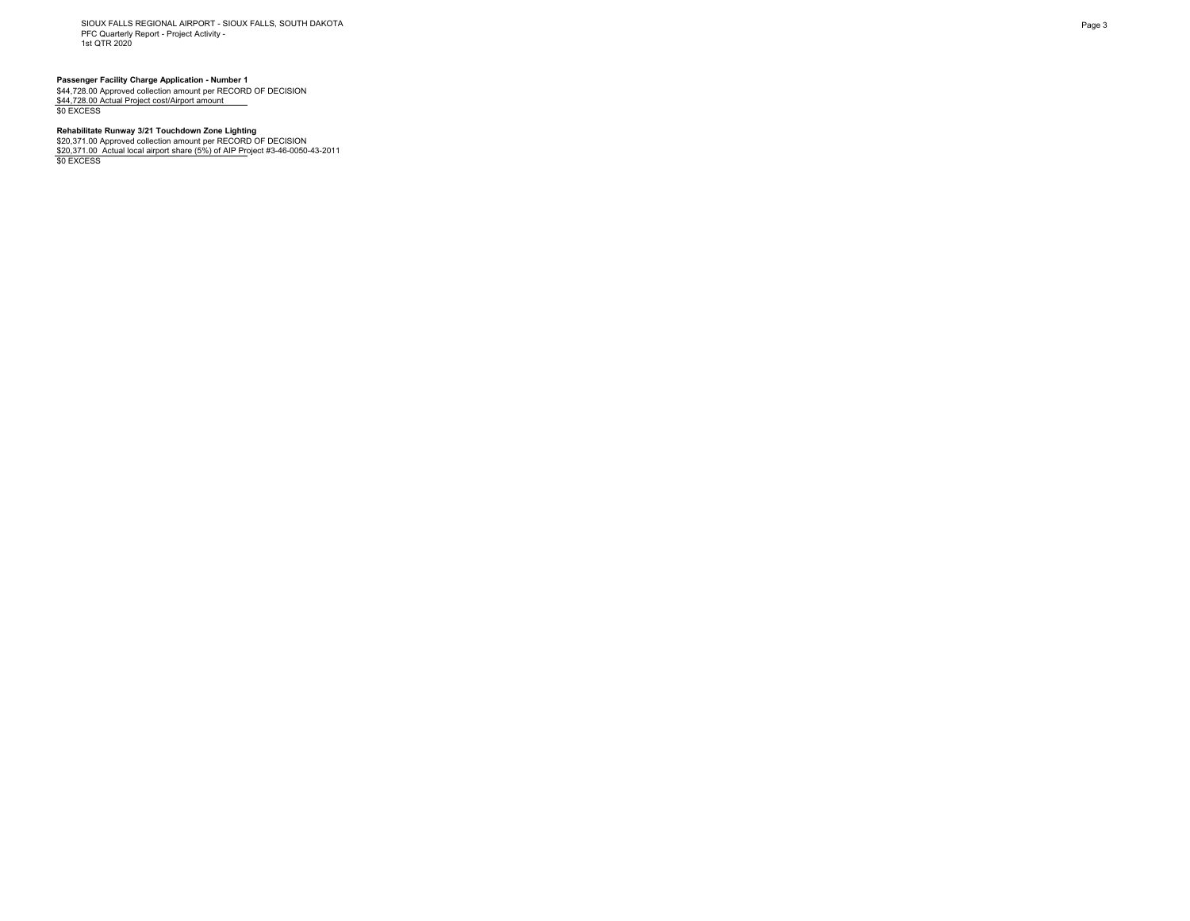SIOUX FALLS REGIONAL AIRPORT - SIOUX FALLS, SOUTH DAKOTA PFC Quarterly Report - Project Activity - 1st QTR 2020

**Passenger Facility Charge Application - Number 1<br>\$44,728.00 Approved collection amount per RECORD OF DECISION<br><u>\$44,728.00 Actual Project cost/Airport amount \_\_\_</u><br>\$0 EXCESS** 

## **Rehabilitate Runway 3/21 Touchdown Zone Lighting**

\$20,371.00 Approved collection amount per RECORD OF DECISION<br><u>\$20,371.00\_Actual local airport share (5%) of AIP Pr</u>oject #3-46-0050-43-2011<br>\$0 EXCESS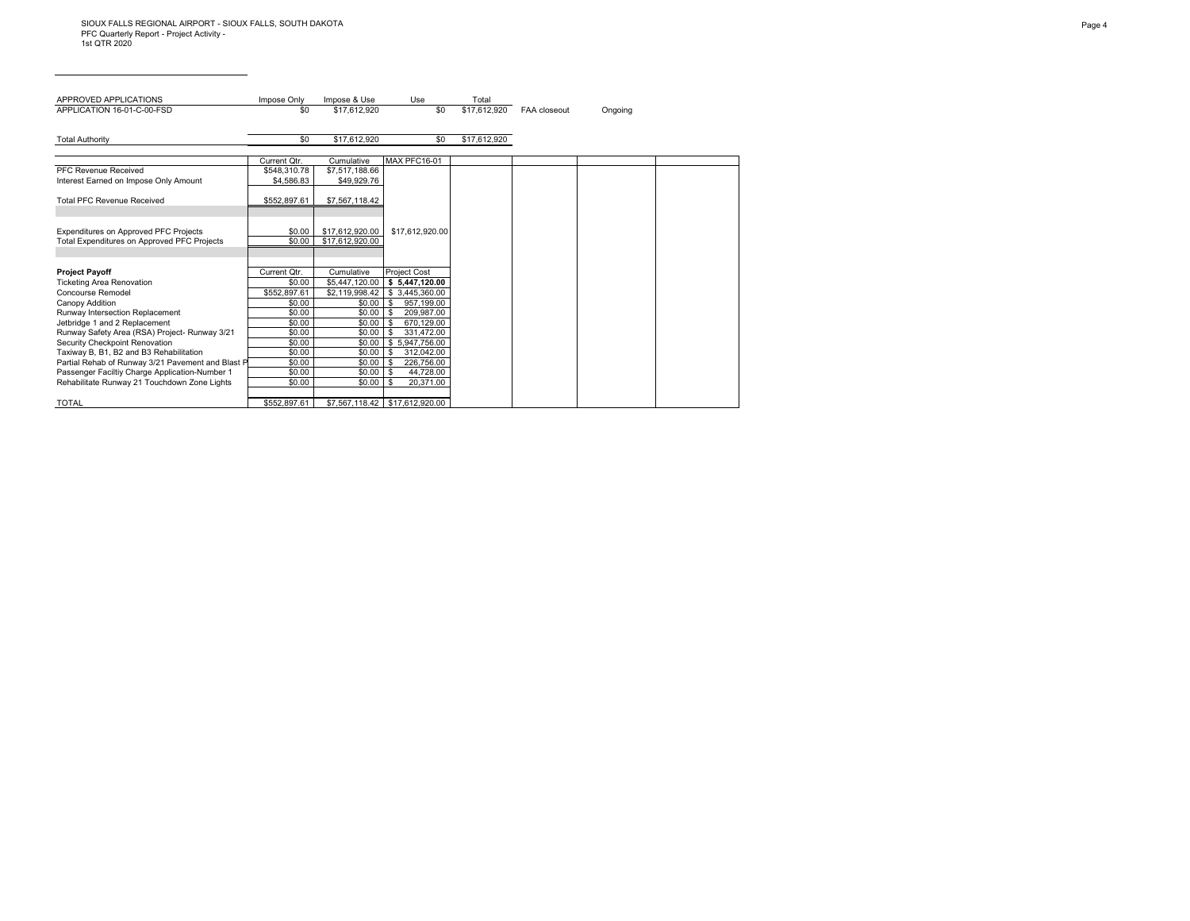| APPROVED APPLICATIONS                                                                        | Impose Only      | Impose & Use                       | Use                                      | Total        |              |         |
|----------------------------------------------------------------------------------------------|------------------|------------------------------------|------------------------------------------|--------------|--------------|---------|
| APPLICATION 16-01-C-00-FSD                                                                   | \$0              | \$17.612.920                       | \$0                                      | \$17.612.920 | FAA closeout | Ongoing |
|                                                                                              |                  |                                    |                                          |              |              |         |
| <b>Total Authority</b>                                                                       | \$0              | \$17,612,920                       | \$0                                      | \$17,612,920 |              |         |
|                                                                                              |                  |                                    |                                          |              |              |         |
|                                                                                              | Current Qtr.     | Cumulative                         | MAX PFC16-01                             |              |              |         |
| PFC Revenue Received                                                                         | \$548,310.78     | \$7,517,188.66                     |                                          |              |              |         |
| Interest Earned on Impose Only Amount                                                        | \$4,586.83       | \$49.929.76                        |                                          |              |              |         |
|                                                                                              |                  |                                    |                                          |              |              |         |
| <b>Total PFC Revenue Received</b>                                                            | \$552,897.61     | \$7,567,118.42                     |                                          |              |              |         |
|                                                                                              |                  |                                    |                                          |              |              |         |
|                                                                                              |                  |                                    |                                          |              |              |         |
| Expenditures on Approved PFC Projects<br>Total Expenditures on Approved PFC Projects         | \$0.00<br>\$0.00 | \$17,612,920.00<br>\$17.612.920.00 | \$17,612,920.00                          |              |              |         |
|                                                                                              |                  |                                    |                                          |              |              |         |
|                                                                                              |                  |                                    |                                          |              |              |         |
| <b>Project Payoff</b>                                                                        | Current Otr.     | Cumulative                         | <b>Project Cost</b>                      |              |              |         |
| <b>Ticketing Area Renovation</b>                                                             | \$0.00           | \$5,447,120.00                     | \$5,447,120.00                           |              |              |         |
| Concourse Remodel                                                                            | \$552,897.61     | \$2.119.998.42                     | \$3.445.360.00                           |              |              |         |
| Canopy Addition                                                                              | \$0.00           | \$0.00                             | 957,199.00<br>- \$                       |              |              |         |
| Runway Intersection Replacement                                                              | \$0.00           | \$0.00                             | 209.987.00<br>- \$                       |              |              |         |
| Jetbridge 1 and 2 Replacement                                                                | \$0.00           | \$0.00                             | 670.129.00<br>-S                         |              |              |         |
| Runway Safety Area (RSA) Project- Runway 3/21                                                | \$0.00           | \$0.00                             | 331,472.00<br>- \$                       |              |              |         |
| Security Checkpoint Renovation                                                               | \$0.00           | \$0.00                             | \$5.947.756.00                           |              |              |         |
| Taxiway B, B1, B2 and B3 Rehabilitation<br>Partial Rehab of Runway 3/21 Pavement and Blast P | \$0.00<br>\$0.00 | \$0.00<br>\$0.00                   | 312,042.00<br>- \$<br>226,756.00<br>l \$ |              |              |         |
| Passenger Faciltiy Charge Application-Number 1                                               | \$0.00           | \$0.00                             | 44,728.00                                |              |              |         |
| Rehabilitate Runway 21 Touchdown Zone Lights                                                 | \$0.00           | \$0.00                             | - \$<br>20.371.00                        |              |              |         |
|                                                                                              |                  |                                    |                                          |              |              |         |
| <b>TOTAL</b>                                                                                 | \$552.897.61     |                                    |                                          |              |              |         |